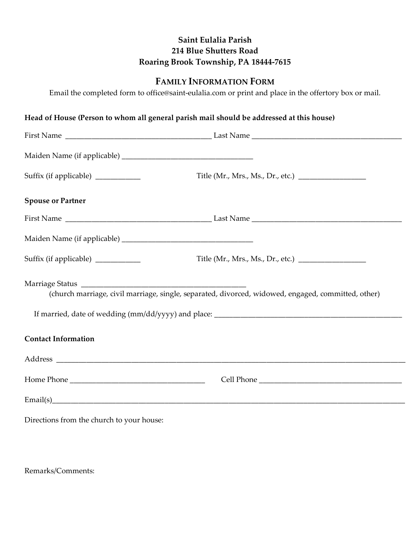## **Saint Eulalia Parish 214 Blue Shutters Road Roaring Brook Township, PA 18444-7615**

## **FAMILY INFORMATION FORM**

Email the completed form to office@saint-eulalia.com or print and place in the offertory box or mail.

## **Head of House (Person to whom all general parish mail should be addressed at this house)**

| Suffix (if applicable) _________    |                                                                                                    |
|-------------------------------------|----------------------------------------------------------------------------------------------------|
| <b>Spouse or Partner</b>            |                                                                                                    |
|                                     |                                                                                                    |
|                                     |                                                                                                    |
| Suffix (if applicable) ____________ | Title (Mr., Mrs., Ms., Dr., etc.) _________________                                                |
|                                     | (church marriage, civil marriage, single, separated, divorced, widowed, engaged, committed, other) |
| <b>Contact Information</b>          |                                                                                                    |
|                                     |                                                                                                    |
|                                     |                                                                                                    |
|                                     |                                                                                                    |

Directions from the church to your house:

Remarks/Comments: